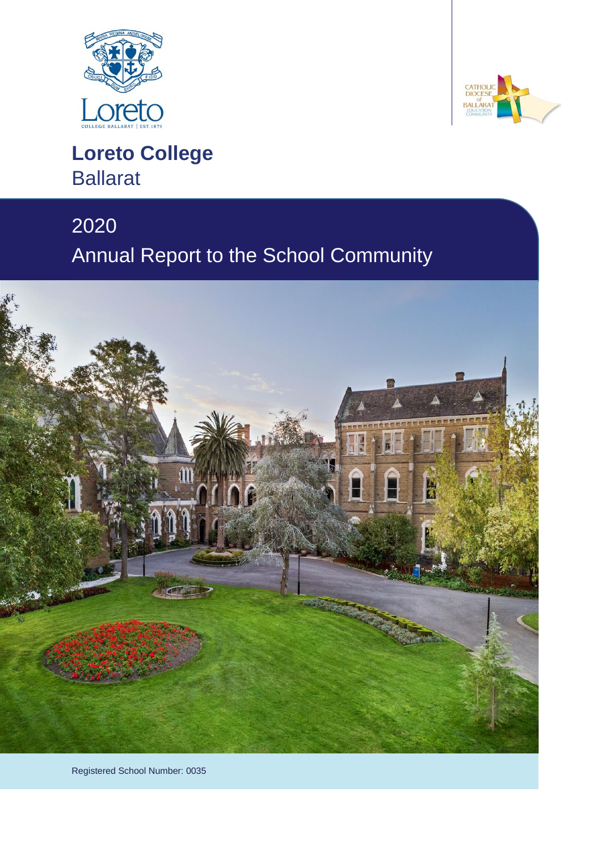



# **Loreto College** Ballarat

# 2020

# Annual Report to the School Community



Registered School Number: 0035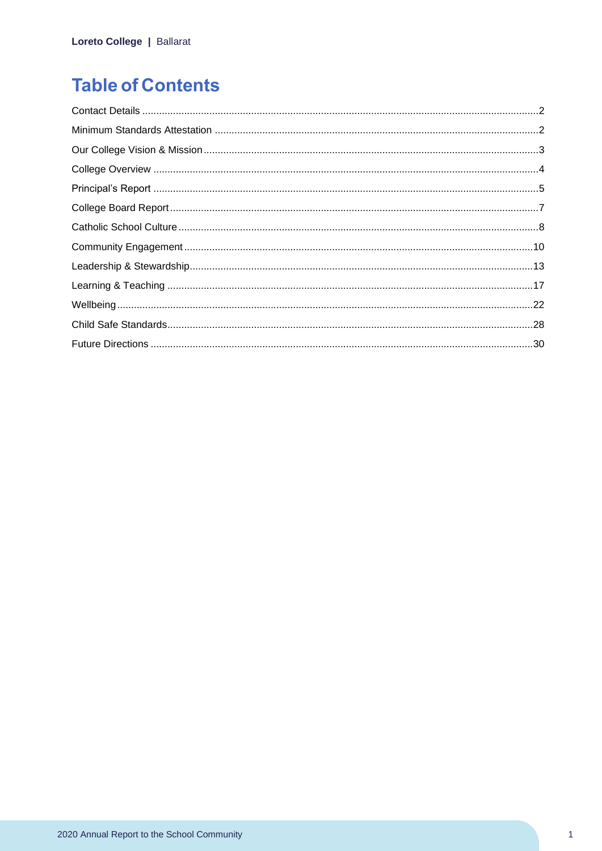# **Table of Contents**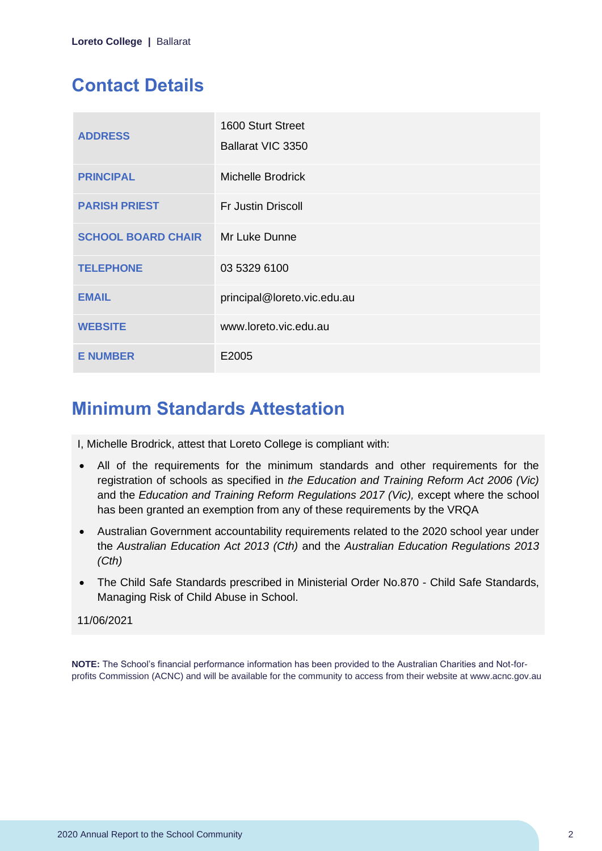# <span id="page-2-0"></span>**Contact Details**

| <b>ADDRESS</b>            | 1600 Sturt Street<br>Ballarat VIC 3350 |
|---------------------------|----------------------------------------|
| <b>PRINCIPAL</b>          | <b>Michelle Brodrick</b>               |
| <b>PARISH PRIEST</b>      | <b>Fr Justin Driscoll</b>              |
| <b>SCHOOL BOARD CHAIR</b> | Mr Luke Dunne                          |
| <b>TELEPHONE</b>          | 03 5329 6100                           |
| <b>EMAIL</b>              | principal@loreto.vic.edu.au            |
| <b>WEBSITE</b>            | www.loreto.vic.edu.au                  |
| <b>E NUMBER</b>           | E2005                                  |

# <span id="page-2-1"></span>**Minimum Standards Attestation**

I, Michelle Brodrick, attest that Loreto College is compliant with:

- All of the requirements for the minimum standards and other requirements for the registration of schools as specified in *the Education and Training Reform Act 2006 (Vic)* and the *Education and Training Reform Regulations 2017 (Vic),* except where the school has been granted an exemption from any of these requirements by the VRQA
- Australian Government accountability requirements related to the 2020 school year under the *Australian Education Act 2013 (Cth)* and the *Australian Education Regulations 2013 (Cth)*
- The Child Safe Standards prescribed in Ministerial Order No.870 Child Safe Standards, Managing Risk of Child Abuse in School.

### 11/06/2021

**NOTE:** The School's financial performance information has been provided to the Australian Charities and Not-forprofits Commission (ACNC) and will be available for the community to access from their website at www.acnc.gov.au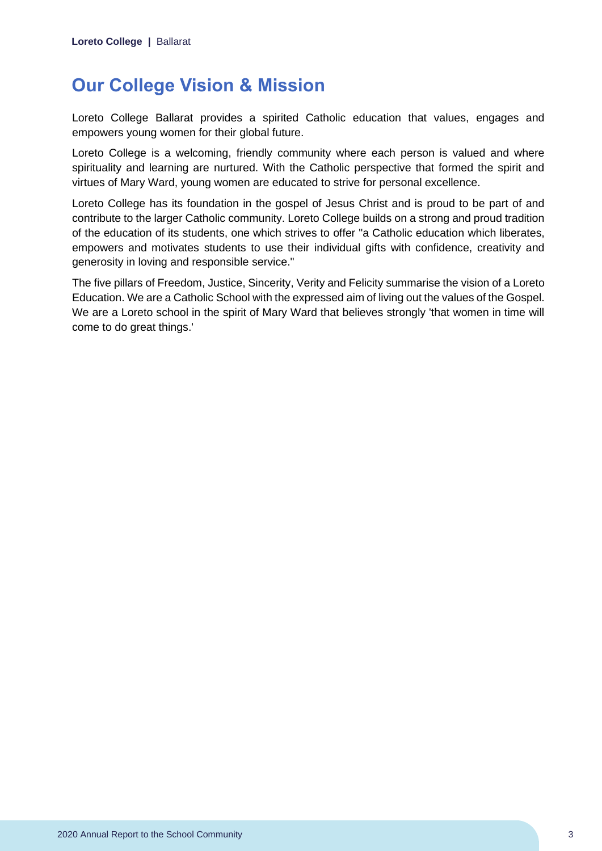# <span id="page-3-0"></span>**Our College Vision & Mission**

Loreto College Ballarat provides a spirited Catholic education that values, engages and empowers young women for their global future.

Loreto College is a welcoming, friendly community where each person is valued and where spirituality and learning are nurtured. With the Catholic perspective that formed the spirit and virtues of Mary Ward, young women are educated to strive for personal excellence.

Loreto College has its foundation in the gospel of Jesus Christ and is proud to be part of and contribute to the larger Catholic community. Loreto College builds on a strong and proud tradition of the education of its students, one which strives to offer "a Catholic education which liberates, empowers and motivates students to use their individual gifts with confidence, creativity and generosity in loving and responsible service."

The five pillars of Freedom, Justice, Sincerity, Verity and Felicity summarise the vision of a Loreto Education. We are a Catholic School with the expressed aim of living out the values of the Gospel. We are a Loreto school in the spirit of Mary Ward that believes strongly 'that women in time will come to do great things.'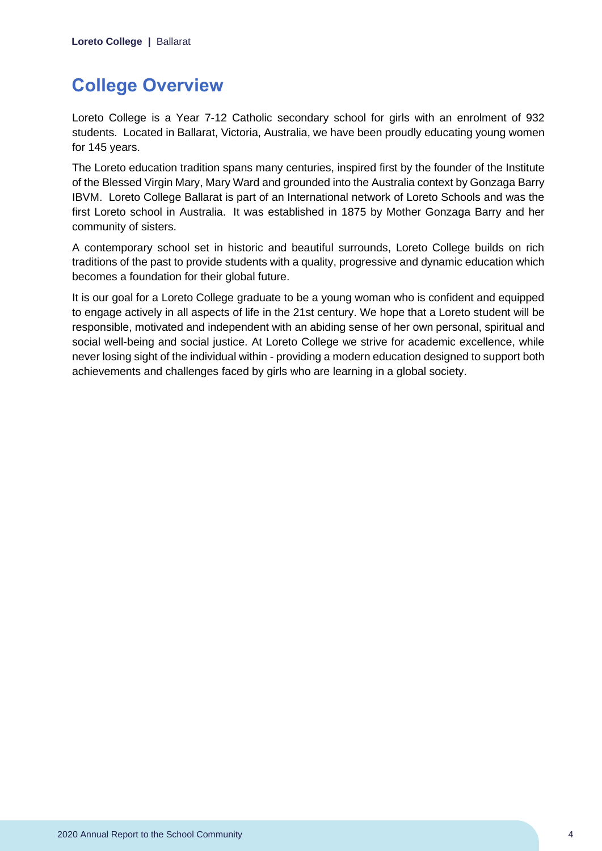# <span id="page-4-0"></span>**College Overview**

Loreto College is a Year 7-12 Catholic secondary school for girls with an enrolment of 932 students. Located in Ballarat, Victoria, Australia, we have been proudly educating young women for 145 years.

The Loreto education tradition spans many centuries, inspired first by the founder of the Institute of the Blessed Virgin Mary, Mary Ward and grounded into the Australia context by Gonzaga Barry IBVM. Loreto College Ballarat is part of an International network of Loreto Schools and was the first Loreto school in Australia. It was established in 1875 by Mother Gonzaga Barry and her community of sisters.

A contemporary school set in historic and beautiful surrounds, Loreto College builds on rich traditions of the past to provide students with a quality, progressive and dynamic education which becomes a foundation for their global future.

It is our goal for a Loreto College graduate to be a young woman who is confident and equipped to engage actively in all aspects of life in the 21st century. We hope that a Loreto student will be responsible, motivated and independent with an abiding sense of her own personal, spiritual and social well-being and social justice. At Loreto College we strive for academic excellence, while never losing sight of the individual within - providing a modern education designed to support both achievements and challenges faced by girls who are learning in a global society.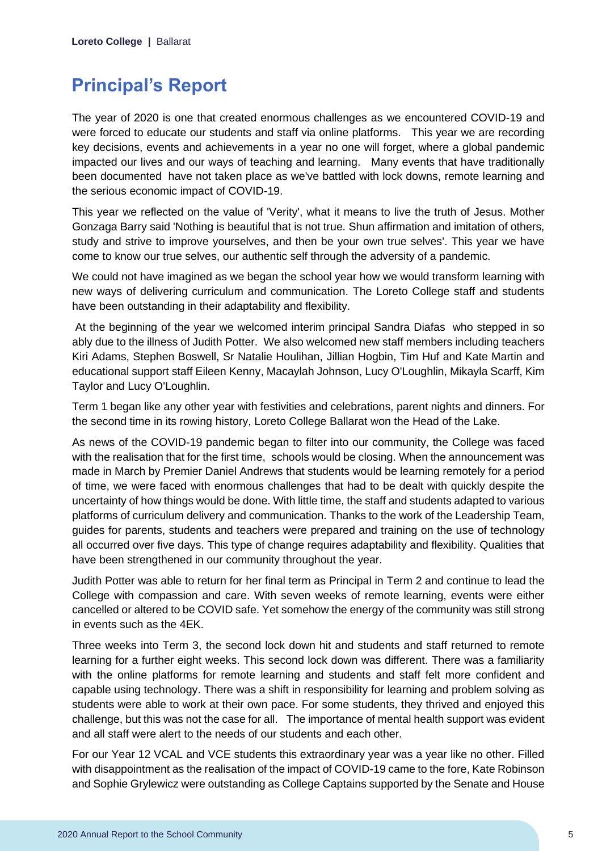# <span id="page-5-0"></span>**Principal's Report**

The year of 2020 is one that created enormous challenges as we encountered COVID-19 and were forced to educate our students and staff via online platforms. This year we are recording key decisions, events and achievements in a year no one will forget, where a global pandemic impacted our lives and our ways of teaching and learning. Many events that have traditionally been documented have not taken place as we've battled with lock downs, remote learning and the serious economic impact of COVID-19.

This year we reflected on the value of 'Verity', what it means to live the truth of Jesus. Mother Gonzaga Barry said 'Nothing is beautiful that is not true. Shun affirmation and imitation of others, study and strive to improve yourselves, and then be your own true selves'. This year we have come to know our true selves, our authentic self through the adversity of a pandemic.

We could not have imagined as we began the school year how we would transform learning with new ways of delivering curriculum and communication. The Loreto College staff and students have been outstanding in their adaptability and flexibility.

At the beginning of the year we welcomed interim principal Sandra Diafas who stepped in so ably due to the illness of Judith Potter. We also welcomed new staff members including teachers Kiri Adams, Stephen Boswell, Sr Natalie Houlihan, Jillian Hogbin, Tim Huf and Kate Martin and educational support staff Eileen Kenny, Macaylah Johnson, Lucy O'Loughlin, Mikayla Scarff, Kim Taylor and Lucy O'Loughlin.

Term 1 began like any other year with festivities and celebrations, parent nights and dinners. For the second time in its rowing history, Loreto College Ballarat won the Head of the Lake.

As news of the COVID-19 pandemic began to filter into our community, the College was faced with the realisation that for the first time, schools would be closing. When the announcement was made in March by Premier Daniel Andrews that students would be learning remotely for a period of time, we were faced with enormous challenges that had to be dealt with quickly despite the uncertainty of how things would be done. With little time, the staff and students adapted to various platforms of curriculum delivery and communication. Thanks to the work of the Leadership Team, guides for parents, students and teachers were prepared and training on the use of technology all occurred over five days. This type of change requires adaptability and flexibility. Qualities that have been strengthened in our community throughout the year.

Judith Potter was able to return for her final term as Principal in Term 2 and continue to lead the College with compassion and care. With seven weeks of remote learning, events were either cancelled or altered to be COVID safe. Yet somehow the energy of the community was still strong in events such as the 4EK.

Three weeks into Term 3, the second lock down hit and students and staff returned to remote learning for a further eight weeks. This second lock down was different. There was a familiarity with the online platforms for remote learning and students and staff felt more confident and capable using technology. There was a shift in responsibility for learning and problem solving as students were able to work at their own pace. For some students, they thrived and enjoyed this challenge, but this was not the case for all. The importance of mental health support was evident and all staff were alert to the needs of our students and each other.

For our Year 12 VCAL and VCE students this extraordinary year was a year like no other. Filled with disappointment as the realisation of the impact of COVID-19 came to the fore, Kate Robinson and Sophie Grylewicz were outstanding as College Captains supported by the Senate and House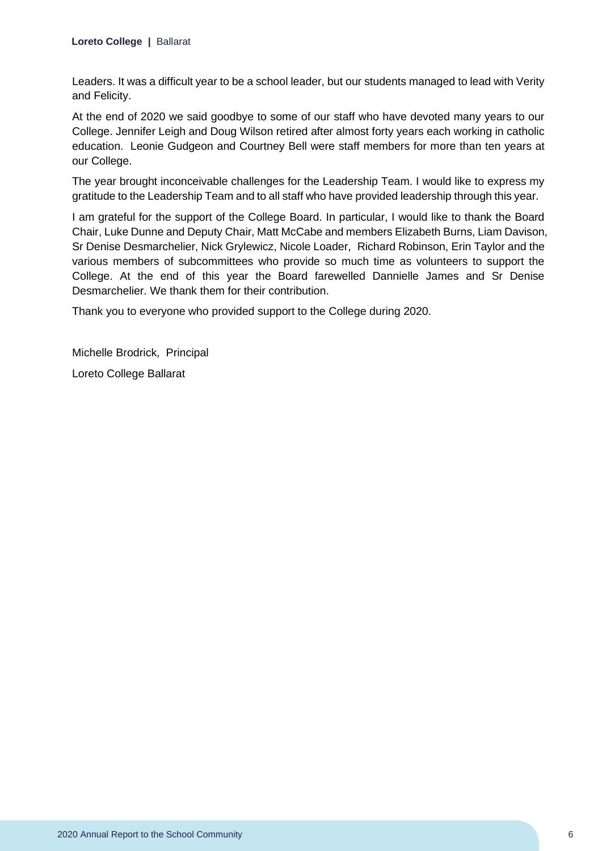Leaders. It was a difficult year to be a school leader, but our students managed to lead with Verity and Felicity.

At the end of 2020 we said goodbye to some of our staff who have devoted many years to our College. Jennifer Leigh and Doug Wilson retired after almost forty years each working in catholic education. Leonie Gudgeon and Courtney Bell were staff members for more than ten years at our College.

The year brought inconceivable challenges for the Leadership Team. I would like to express my gratitude to the Leadership Team and to all staff who have provided leadership through this year.

I am grateful for the support of the College Board. In particular, I would like to thank the Board Chair, Luke Dunne and Deputy Chair, Matt McCabe and members Elizabeth Burns, Liam Davison, Sr Denise Desmarchelier, Nick Grylewicz, Nicole Loader, Richard Robinson, Erin Taylor and the various members of subcommittees who provide so much time as volunteers to support the College. At the end of this year the Board farewelled Dannielle James and Sr Denise Desmarchelier. We thank them for their contribution.

Thank you to everyone who provided support to the College during 2020.

Michelle Brodrick, Principal Loreto College Ballarat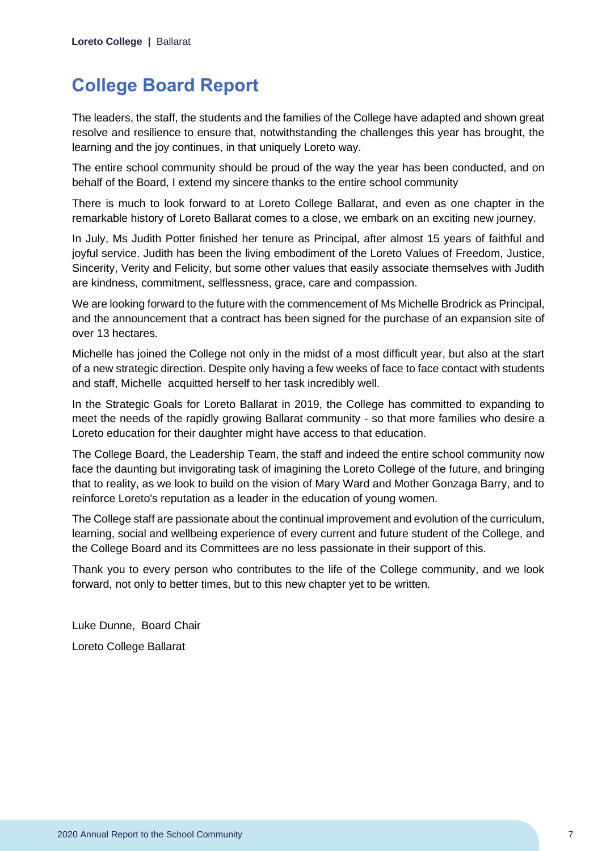# <span id="page-7-0"></span>**College Board Report**

The leaders, the staff, the students and the families of the College have adapted and shown great resolve and resilience to ensure that, notwithstanding the challenges this year has brought, the learning and the joy continues, in that uniquely Loreto way.

The entire school community should be proud of the way the year has been conducted, and on behalf of the Board, I extend my sincere thanks to the entire school community

There is much to look forward to at Loreto College Ballarat, and even as one chapter in the remarkable history of Loreto Ballarat comes to a close, we embark on an exciting new journey.

In July, Ms Judith Potter finished her tenure as Principal, after almost 15 years of faithful and joyful service. Judith has been the living embodiment of the Loreto Values of Freedom, Justice, Sincerity, Verity and Felicity, but some other values that easily associate themselves with Judith are kindness, commitment, selflessness, grace, care and compassion.

We are looking forward to the future with the commencement of Ms Michelle Brodrick as Principal, and the announcement that a contract has been signed for the purchase of an expansion site of over 13 hectares.

Michelle has joined the College not only in the midst of a most difficult year, but also at the start of a new strategic direction. Despite only having a few weeks of face to face contact with students and staff, Michelle acquitted herself to her task incredibly well.

In the Strategic Goals for Loreto Ballarat in 2019, the College has committed to expanding to meet the needs of the rapidly growing Ballarat community - so that more families who desire a Loreto education for their daughter might have access to that education.

The College Board, the Leadership Team, the staff and indeed the entire school community now face the daunting but invigorating task of imagining the Loreto College of the future, and bringing that to reality, as we look to build on the vision of Mary Ward and Mother Gonzaga Barry, and to reinforce Loreto's reputation as a leader in the education of young women.

The College staff are passionate about the continual improvement and evolution of the curriculum, learning, social and wellbeing experience of every current and future student of the College, and the College Board and its Committees are no less passionate in their support of this.

Thank you to every person who contributes to the life of the College community, and we look forward, not only to better times, but to this new chapter yet to be written.

Luke Dunne, Board Chair Loreto College Ballarat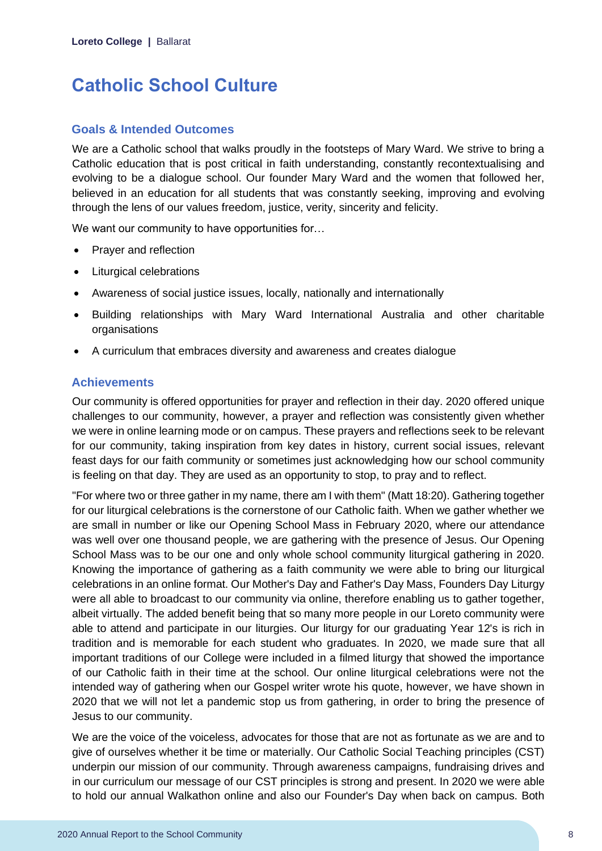# <span id="page-8-0"></span>**Catholic School Culture**

### **Goals & Intended Outcomes**

We are a Catholic school that walks proudly in the footsteps of Mary Ward. We strive to bring a Catholic education that is post critical in faith understanding, constantly recontextualising and evolving to be a dialogue school. Our founder Mary Ward and the women that followed her, believed in an education for all students that was constantly seeking, improving and evolving through the lens of our values freedom, justice, verity, sincerity and felicity.

We want our community to have opportunities for...

- Prayer and reflection
- Liturgical celebrations
- Awareness of social justice issues, locally, nationally and internationally
- Building relationships with Mary Ward International Australia and other charitable organisations
- A curriculum that embraces diversity and awareness and creates dialogue

# **Achievements**

Our community is offered opportunities for prayer and reflection in their day. 2020 offered unique challenges to our community, however, a prayer and reflection was consistently given whether we were in online learning mode or on campus. These prayers and reflections seek to be relevant for our community, taking inspiration from key dates in history, current social issues, relevant feast days for our faith community or sometimes just acknowledging how our school community is feeling on that day. They are used as an opportunity to stop, to pray and to reflect.

"For where two or three gather in my name, there am I with them" (Matt 18:20). Gathering together for our liturgical celebrations is the cornerstone of our Catholic faith. When we gather whether we are small in number or like our Opening School Mass in February 2020, where our attendance was well over one thousand people, we are gathering with the presence of Jesus. Our Opening School Mass was to be our one and only whole school community liturgical gathering in 2020. Knowing the importance of gathering as a faith community we were able to bring our liturgical celebrations in an online format. Our Mother's Day and Father's Day Mass, Founders Day Liturgy were all able to broadcast to our community via online, therefore enabling us to gather together, albeit virtually. The added benefit being that so many more people in our Loreto community were able to attend and participate in our liturgies. Our liturgy for our graduating Year 12's is rich in tradition and is memorable for each student who graduates. In 2020, we made sure that all important traditions of our College were included in a filmed liturgy that showed the importance of our Catholic faith in their time at the school. Our online liturgical celebrations were not the intended way of gathering when our Gospel writer wrote his quote, however, we have shown in 2020 that we will not let a pandemic stop us from gathering, in order to bring the presence of Jesus to our community.

We are the voice of the voiceless, advocates for those that are not as fortunate as we are and to give of ourselves whether it be time or materially. Our Catholic Social Teaching principles (CST) underpin our mission of our community. Through awareness campaigns, fundraising drives and in our curriculum our message of our CST principles is strong and present. In 2020 we were able to hold our annual Walkathon online and also our Founder's Day when back on campus. Both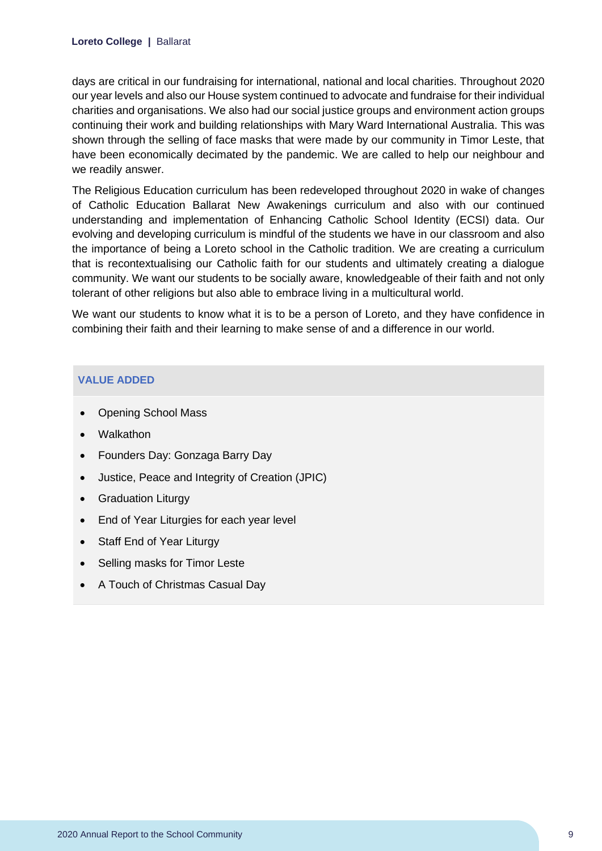days are critical in our fundraising for international, national and local charities. Throughout 2020 our year levels and also our House system continued to advocate and fundraise for their individual charities and organisations. We also had our social justice groups and environment action groups continuing their work and building relationships with Mary Ward International Australia. This was shown through the selling of face masks that were made by our community in Timor Leste, that have been economically decimated by the pandemic. We are called to help our neighbour and we readily answer.

The Religious Education curriculum has been redeveloped throughout 2020 in wake of changes of Catholic Education Ballarat New Awakenings curriculum and also with our continued understanding and implementation of Enhancing Catholic School Identity (ECSI) data. Our evolving and developing curriculum is mindful of the students we have in our classroom and also the importance of being a Loreto school in the Catholic tradition. We are creating a curriculum that is recontextualising our Catholic faith for our students and ultimately creating a dialogue community. We want our students to be socially aware, knowledgeable of their faith and not only tolerant of other religions but also able to embrace living in a multicultural world.

We want our students to know what it is to be a person of Loreto, and they have confidence in combining their faith and their learning to make sense of and a difference in our world.

#### **VALUE ADDED**

- Opening School Mass
- Walkathon
- Founders Day: Gonzaga Barry Day
- Justice, Peace and Integrity of Creation (JPIC)
- Graduation Liturgy
- End of Year Liturgies for each year level
- Staff End of Year Liturgy
- Selling masks for Timor Leste
- A Touch of Christmas Casual Day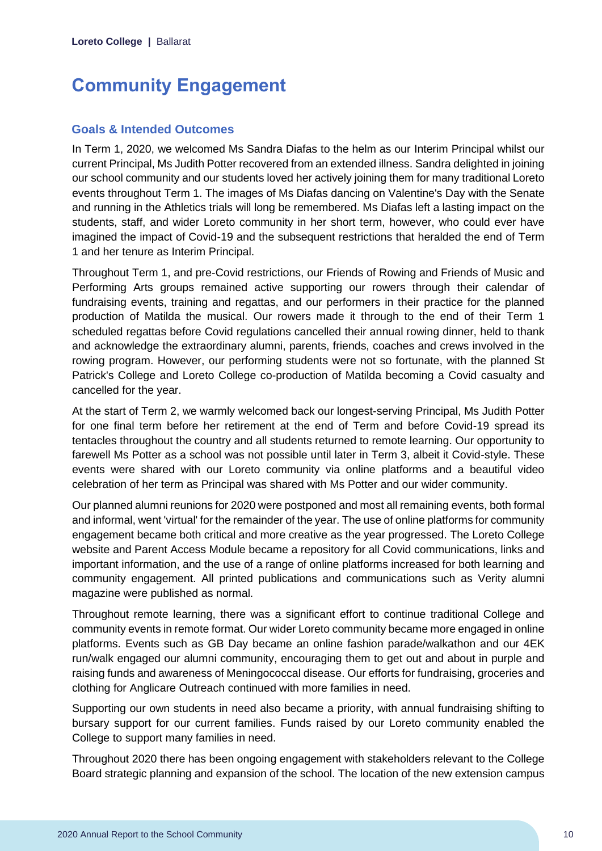# <span id="page-10-0"></span>**Community Engagement**

### **Goals & Intended Outcomes**

In Term 1, 2020, we welcomed Ms Sandra Diafas to the helm as our Interim Principal whilst our current Principal, Ms Judith Potter recovered from an extended illness. Sandra delighted in joining our school community and our students loved her actively joining them for many traditional Loreto events throughout Term 1. The images of Ms Diafas dancing on Valentine's Day with the Senate and running in the Athletics trials will long be remembered. Ms Diafas left a lasting impact on the students, staff, and wider Loreto community in her short term, however, who could ever have imagined the impact of Covid-19 and the subsequent restrictions that heralded the end of Term 1 and her tenure as Interim Principal.

Throughout Term 1, and pre-Covid restrictions, our Friends of Rowing and Friends of Music and Performing Arts groups remained active supporting our rowers through their calendar of fundraising events, training and regattas, and our performers in their practice for the planned production of Matilda the musical. Our rowers made it through to the end of their Term 1 scheduled regattas before Covid regulations cancelled their annual rowing dinner, held to thank and acknowledge the extraordinary alumni, parents, friends, coaches and crews involved in the rowing program. However, our performing students were not so fortunate, with the planned St Patrick's College and Loreto College co-production of Matilda becoming a Covid casualty and cancelled for the year.

At the start of Term 2, we warmly welcomed back our longest-serving Principal, Ms Judith Potter for one final term before her retirement at the end of Term and before Covid-19 spread its tentacles throughout the country and all students returned to remote learning. Our opportunity to farewell Ms Potter as a school was not possible until later in Term 3, albeit it Covid-style. These events were shared with our Loreto community via online platforms and a beautiful video celebration of her term as Principal was shared with Ms Potter and our wider community.

Our planned alumni reunions for 2020 were postponed and most all remaining events, both formal and informal, went 'virtual' for the remainder of the year. The use of online platforms for community engagement became both critical and more creative as the year progressed. The Loreto College website and Parent Access Module became a repository for all Covid communications, links and important information, and the use of a range of online platforms increased for both learning and community engagement. All printed publications and communications such as Verity alumni magazine were published as normal.

Throughout remote learning, there was a significant effort to continue traditional College and community events in remote format. Our wider Loreto community became more engaged in online platforms. Events such as GB Day became an online fashion parade/walkathon and our 4EK run/walk engaged our alumni community, encouraging them to get out and about in purple and raising funds and awareness of Meningococcal disease. Our efforts for fundraising, groceries and clothing for Anglicare Outreach continued with more families in need.

Supporting our own students in need also became a priority, with annual fundraising shifting to bursary support for our current families. Funds raised by our Loreto community enabled the College to support many families in need.

Throughout 2020 there has been ongoing engagement with stakeholders relevant to the College Board strategic planning and expansion of the school. The location of the new extension campus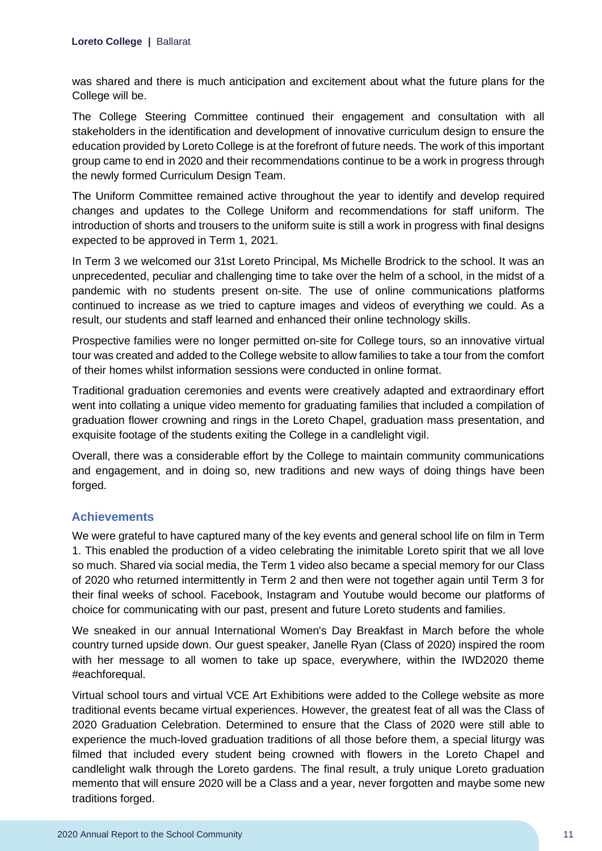was shared and there is much anticipation and excitement about what the future plans for the College will be.

The College Steering Committee continued their engagement and consultation with all stakeholders in the identification and development of innovative curriculum design to ensure the education provided by Loreto College is at the forefront of future needs. The work of this important group came to end in 2020 and their recommendations continue to be a work in progress through the newly formed Curriculum Design Team.

The Uniform Committee remained active throughout the year to identify and develop required changes and updates to the College Uniform and recommendations for staff uniform. The introduction of shorts and trousers to the uniform suite is still a work in progress with final designs expected to be approved in Term 1, 2021.

In Term 3 we welcomed our 31st Loreto Principal, Ms Michelle Brodrick to the school. It was an unprecedented, peculiar and challenging time to take over the helm of a school, in the midst of a pandemic with no students present on-site. The use of online communications platforms continued to increase as we tried to capture images and videos of everything we could. As a result, our students and staff learned and enhanced their online technology skills.

Prospective families were no longer permitted on-site for College tours, so an innovative virtual tour was created and added to the College website to allow families to take a tour from the comfort of their homes whilst information sessions were conducted in online format.

Traditional graduation ceremonies and events were creatively adapted and extraordinary effort went into collating a unique video memento for graduating families that included a compilation of graduation flower crowning and rings in the Loreto Chapel, graduation mass presentation, and exquisite footage of the students exiting the College in a candlelight vigil.

Overall, there was a considerable effort by the College to maintain community communications and engagement, and in doing so, new traditions and new ways of doing things have been forged.

# **Achievements**

We were grateful to have captured many of the key events and general school life on film in Term 1. This enabled the production of a video celebrating the inimitable Loreto spirit that we all love so much. Shared via social media, the Term 1 video also became a special memory for our Class of 2020 who returned intermittently in Term 2 and then were not together again until Term 3 for their final weeks of school. Facebook, Instagram and Youtube would become our platforms of choice for communicating with our past, present and future Loreto students and families.

We sneaked in our annual International Women's Day Breakfast in March before the whole country turned upside down. Our guest speaker, Janelle Ryan (Class of 2020) inspired the room with her message to all women to take up space, everywhere, within the IWD2020 theme #eachforequal.

Virtual school tours and virtual VCE Art Exhibitions were added to the College website as more traditional events became virtual experiences. However, the greatest feat of all was the Class of 2020 Graduation Celebration. Determined to ensure that the Class of 2020 were still able to experience the much-loved graduation traditions of all those before them, a special liturgy was filmed that included every student being crowned with flowers in the Loreto Chapel and candlelight walk through the Loreto gardens. The final result, a truly unique Loreto graduation memento that will ensure 2020 will be a Class and a year, never forgotten and maybe some new traditions forged.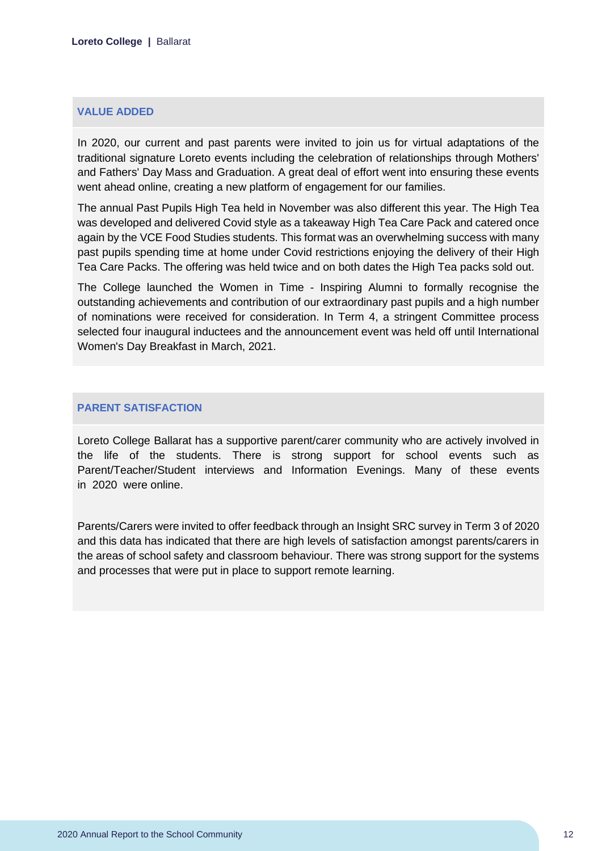#### **VALUE ADDED**

In 2020, our current and past parents were invited to join us for virtual adaptations of the traditional signature Loreto events including the celebration of relationships through Mothers' and Fathers' Day Mass and Graduation. A great deal of effort went into ensuring these events went ahead online, creating a new platform of engagement for our families.

The annual Past Pupils High Tea held in November was also different this year. The High Tea was developed and delivered Covid style as a takeaway High Tea Care Pack and catered once again by the VCE Food Studies students. This format was an overwhelming success with many past pupils spending time at home under Covid restrictions enjoying the delivery of their High Tea Care Packs. The offering was held twice and on both dates the High Tea packs sold out.

The College launched the Women in Time - Inspiring Alumni to formally recognise the outstanding achievements and contribution of our extraordinary past pupils and a high number of nominations were received for consideration. In Term 4, a stringent Committee process selected four inaugural inductees and the announcement event was held off until International Women's Day Breakfast in March, 2021.

#### **PARENT SATISFACTION**

Loreto College Ballarat has a supportive parent/carer community who are actively involved in the life of the students. There is strong support for school events such as Parent/Teacher/Student interviews and Information Evenings. Many of these events in 2020 were online.

Parents/Carers were invited to offer feedback through an Insight SRC survey in Term 3 of 2020 and this data has indicated that there are high levels of satisfaction amongst parents/carers in the areas of school safety and classroom behaviour. There was strong support for the systems and processes that were put in place to support remote learning.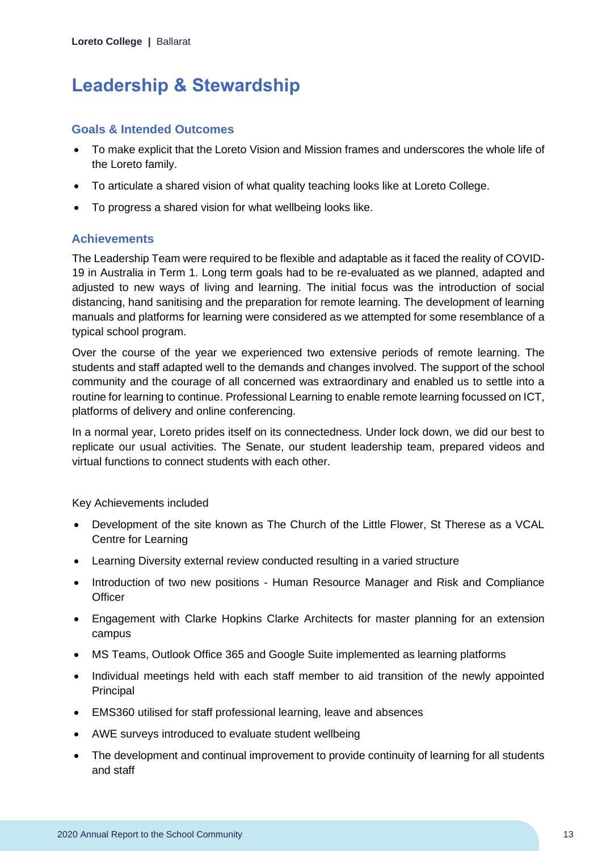# <span id="page-13-0"></span>**Leadership & Stewardship**

### **Goals & Intended Outcomes**

- To make explicit that the Loreto Vision and Mission frames and underscores the whole life of the Loreto family.
- To articulate a shared vision of what quality teaching looks like at Loreto College.
- To progress a shared vision for what wellbeing looks like.

# **Achievements**

The Leadership Team were required to be flexible and adaptable as it faced the reality of COVID-19 in Australia in Term 1. Long term goals had to be re-evaluated as we planned, adapted and adjusted to new ways of living and learning. The initial focus was the introduction of social distancing, hand sanitising and the preparation for remote learning. The development of learning manuals and platforms for learning were considered as we attempted for some resemblance of a typical school program.

Over the course of the year we experienced two extensive periods of remote learning. The students and staff adapted well to the demands and changes involved. The support of the school community and the courage of all concerned was extraordinary and enabled us to settle into a routine for learning to continue. Professional Learning to enable remote learning focussed on ICT, platforms of delivery and online conferencing.

In a normal year, Loreto prides itself on its connectedness. Under lock down, we did our best to replicate our usual activities. The Senate, our student leadership team, prepared videos and virtual functions to connect students with each other.

Key Achievements included

- Development of the site known as The Church of the Little Flower, St Therese as a VCAL Centre for Learning
- Learning Diversity external review conducted resulting in a varied structure
- Introduction of two new positions Human Resource Manager and Risk and Compliance **Officer**
- Engagement with Clarke Hopkins Clarke Architects for master planning for an extension campus
- MS Teams, Outlook Office 365 and Google Suite implemented as learning platforms
- Individual meetings held with each staff member to aid transition of the newly appointed Principal
- EMS360 utilised for staff professional learning, leave and absences
- AWE surveys introduced to evaluate student wellbeing
- The development and continual improvement to provide continuity of learning for all students and staff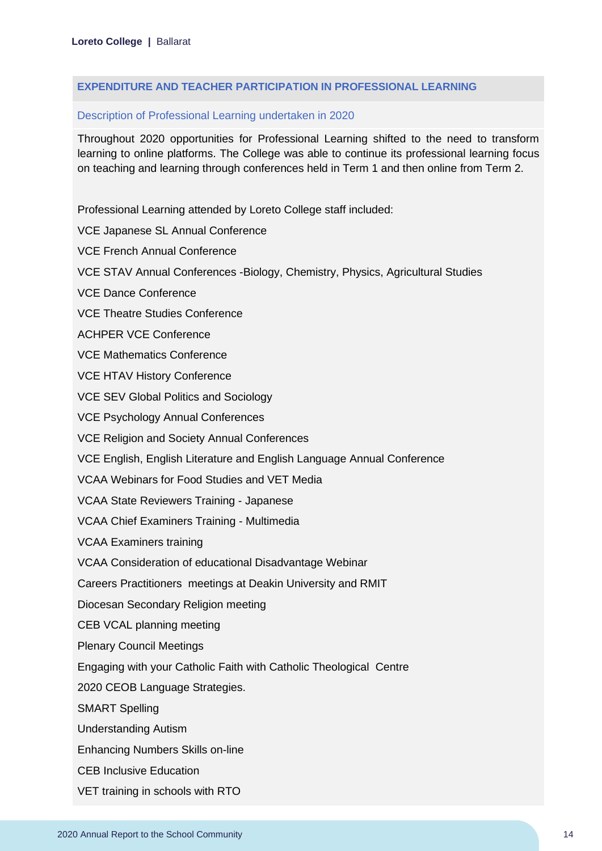#### **EXPENDITURE AND TEACHER PARTICIPATION IN PROFESSIONAL LEARNING**

#### Description of Professional Learning undertaken in 2020

Throughout 2020 opportunities for Professional Learning shifted to the need to transform learning to online platforms. The College was able to continue its professional learning focus on teaching and learning through conferences held in Term 1 and then online from Term 2.

Professional Learning attended by Loreto College staff included:

VCE Japanese SL Annual Conference

VCE French Annual Conference

VCE STAV Annual Conferences -Biology, Chemistry, Physics, Agricultural Studies

VCE Dance Conference

VCE Theatre Studies Conference

ACHPER VCE Conference

VCE Mathematics Conference

VCE HTAV History Conference

VCE SEV Global Politics and Sociology

VCE Psychology Annual Conferences

VCE Religion and Society Annual Conferences

VCE English, English Literature and English Language Annual Conference

VCAA Webinars for Food Studies and VET Media

VCAA State Reviewers Training - Japanese

VCAA Chief Examiners Training - Multimedia

VCAA Examiners training

VCAA Consideration of educational Disadvantage Webinar

Careers Practitioners meetings at Deakin University and RMIT

Diocesan Secondary Religion meeting

CEB VCAL planning meeting

Plenary Council Meetings

Engaging with your Catholic Faith with Catholic Theological Centre

2020 CEOB Language Strategies.

SMART Spelling

Understanding Autism

Enhancing Numbers Skills on-line

CEB Inclusive Education

VET training in schools with RTO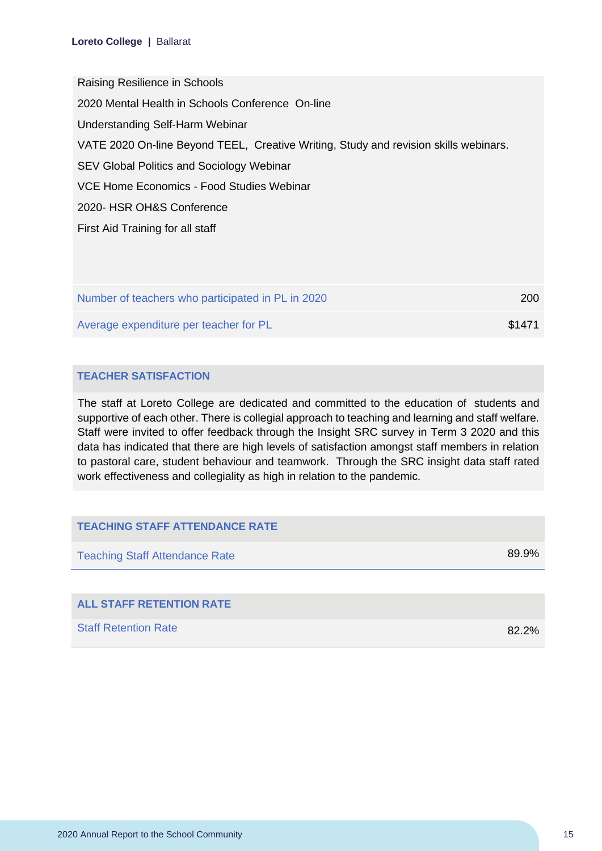Raising Resilience in Schools 2020 Mental Health in Schools Conference On-line Understanding Self-Harm Webinar VATE 2020 On-line Beyond TEEL, Creative Writing, Study and revision skills webinars. SEV Global Politics and Sociology Webinar VCE Home Economics - Food Studies Webinar 2020- HSR OH&S Conference First Aid Training for all staff

| Number of teachers who participated in PL in 2020 | <b>200</b> |
|---------------------------------------------------|------------|
| Average expenditure per teacher for PL            | \$1471     |

### **TEACHER SATISFACTION**

The staff at Loreto College are dedicated and committed to the education of students and supportive of each other. There is collegial approach to teaching and learning and staff welfare. Staff were invited to offer feedback through the Insight SRC survey in Term 3 2020 and this data has indicated that there are high levels of satisfaction amongst staff members in relation to pastoral care, student behaviour and teamwork. Through the SRC insight data staff rated work effectiveness and collegiality as high in relation to the pandemic.

| <b>TEACHING STAFF ATTENDANCE RATE</b> |          |
|---------------------------------------|----------|
| <b>Teaching Staff Attendance Rate</b> | 89.9%    |
|                                       |          |
| <b>ALL STAFF RETENTION RATE</b>       |          |
| <b>Staff Retention Rate</b>           | $82.2\%$ |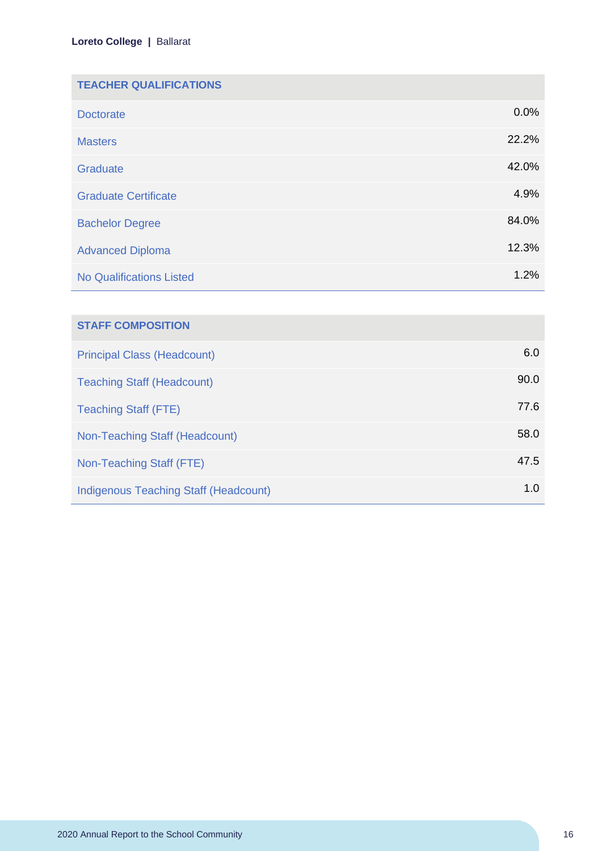| <b>TEACHER QUALIFICATIONS</b>   |       |
|---------------------------------|-------|
| <b>Doctorate</b>                | 0.0%  |
| <b>Masters</b>                  | 22.2% |
| Graduate                        | 42.0% |
| <b>Graduate Certificate</b>     | 4.9%  |
| <b>Bachelor Degree</b>          | 84.0% |
| <b>Advanced Diploma</b>         | 12.3% |
| <b>No Qualifications Listed</b> | 1.2%  |

| <b>STAFF COMPOSITION</b>                     |      |
|----------------------------------------------|------|
| <b>Principal Class (Headcount)</b>           | 6.0  |
| <b>Teaching Staff (Headcount)</b>            | 90.0 |
| <b>Teaching Staff (FTE)</b>                  | 77.6 |
| Non-Teaching Staff (Headcount)               | 58.0 |
| Non-Teaching Staff (FTE)                     | 47.5 |
| <b>Indigenous Teaching Staff (Headcount)</b> | 1.0  |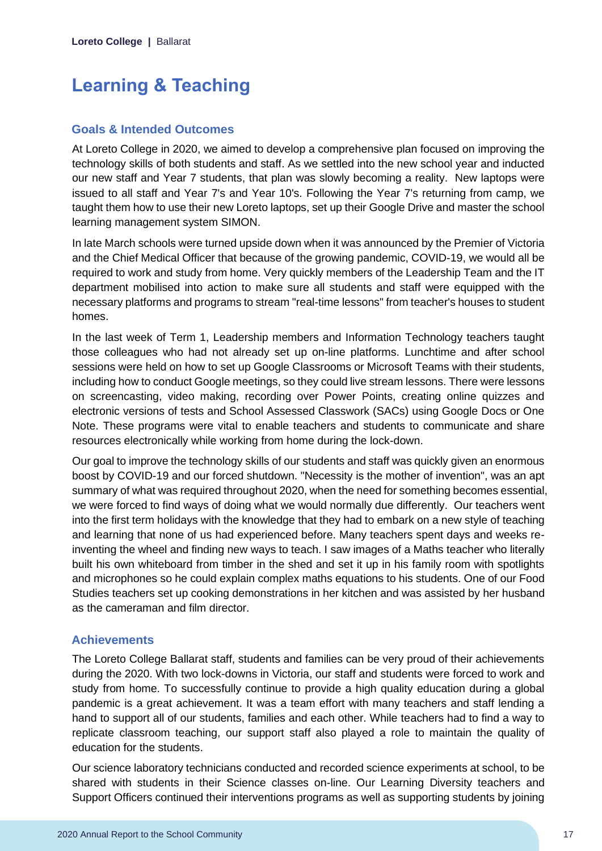# <span id="page-17-0"></span>**Learning & Teaching**

### **Goals & Intended Outcomes**

At Loreto College in 2020, we aimed to develop a comprehensive plan focused on improving the technology skills of both students and staff. As we settled into the new school year and inducted our new staff and Year 7 students, that plan was slowly becoming a reality. New laptops were issued to all staff and Year 7's and Year 10's. Following the Year 7's returning from camp, we taught them how to use their new Loreto laptops, set up their Google Drive and master the school learning management system SIMON.

In late March schools were turned upside down when it was announced by the Premier of Victoria and the Chief Medical Officer that because of the growing pandemic, COVID-19, we would all be required to work and study from home. Very quickly members of the Leadership Team and the IT department mobilised into action to make sure all students and staff were equipped with the necessary platforms and programs to stream "real-time lessons" from teacher's houses to student homes.

In the last week of Term 1, Leadership members and Information Technology teachers taught those colleagues who had not already set up on-line platforms. Lunchtime and after school sessions were held on how to set up Google Classrooms or Microsoft Teams with their students, including how to conduct Google meetings, so they could live stream lessons. There were lessons on screencasting, video making, recording over Power Points, creating online quizzes and electronic versions of tests and School Assessed Classwork (SACs) using Google Docs or One Note. These programs were vital to enable teachers and students to communicate and share resources electronically while working from home during the lock-down.

Our goal to improve the technology skills of our students and staff was quickly given an enormous boost by COVID-19 and our forced shutdown. "Necessity is the mother of invention", was an apt summary of what was required throughout 2020, when the need for something becomes essential, we were forced to find ways of doing what we would normally due differently. Our teachers went into the first term holidays with the knowledge that they had to embark on a new style of teaching and learning that none of us had experienced before. Many teachers spent days and weeks reinventing the wheel and finding new ways to teach. I saw images of a Maths teacher who literally built his own whiteboard from timber in the shed and set it up in his family room with spotlights and microphones so he could explain complex maths equations to his students. One of our Food Studies teachers set up cooking demonstrations in her kitchen and was assisted by her husband as the cameraman and film director.

### **Achievements**

The Loreto College Ballarat staff, students and families can be very proud of their achievements during the 2020. With two lock-downs in Victoria, our staff and students were forced to work and study from home. To successfully continue to provide a high quality education during a global pandemic is a great achievement. It was a team effort with many teachers and staff lending a hand to support all of our students, families and each other. While teachers had to find a way to replicate classroom teaching, our support staff also played a role to maintain the quality of education for the students.

Our science laboratory technicians conducted and recorded science experiments at school, to be shared with students in their Science classes on-line. Our Learning Diversity teachers and Support Officers continued their interventions programs as well as supporting students by joining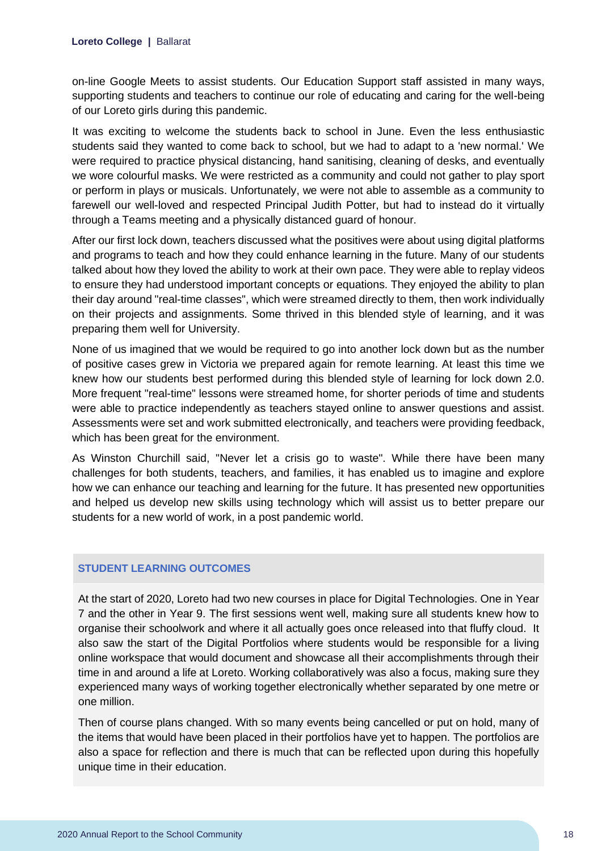on-line Google Meets to assist students. Our Education Support staff assisted in many ways, supporting students and teachers to continue our role of educating and caring for the well-being of our Loreto girls during this pandemic.

It was exciting to welcome the students back to school in June. Even the less enthusiastic students said they wanted to come back to school, but we had to adapt to a 'new normal.' We were required to practice physical distancing, hand sanitising, cleaning of desks, and eventually we wore colourful masks. We were restricted as a community and could not gather to play sport or perform in plays or musicals. Unfortunately, we were not able to assemble as a community to farewell our well-loved and respected Principal Judith Potter, but had to instead do it virtually through a Teams meeting and a physically distanced guard of honour.

After our first lock down, teachers discussed what the positives were about using digital platforms and programs to teach and how they could enhance learning in the future. Many of our students talked about how they loved the ability to work at their own pace. They were able to replay videos to ensure they had understood important concepts or equations. They enjoyed the ability to plan their day around "real-time classes", which were streamed directly to them, then work individually on their projects and assignments. Some thrived in this blended style of learning, and it was preparing them well for University.

None of us imagined that we would be required to go into another lock down but as the number of positive cases grew in Victoria we prepared again for remote learning. At least this time we knew how our students best performed during this blended style of learning for lock down 2.0. More frequent "real-time" lessons were streamed home, for shorter periods of time and students were able to practice independently as teachers stayed online to answer questions and assist. Assessments were set and work submitted electronically, and teachers were providing feedback, which has been great for the environment.

As Winston Churchill said, "Never let a crisis go to waste". While there have been many challenges for both students, teachers, and families, it has enabled us to imagine and explore how we can enhance our teaching and learning for the future. It has presented new opportunities and helped us develop new skills using technology which will assist us to better prepare our students for a new world of work, in a post pandemic world.

### **STUDENT LEARNING OUTCOMES**

At the start of 2020, Loreto had two new courses in place for Digital Technologies. One in Year 7 and the other in Year 9. The first sessions went well, making sure all students knew how to organise their schoolwork and where it all actually goes once released into that fluffy cloud. It also saw the start of the Digital Portfolios where students would be responsible for a living online workspace that would document and showcase all their accomplishments through their time in and around a life at Loreto. Working collaboratively was also a focus, making sure they experienced many ways of working together electronically whether separated by one metre or one million.

Then of course plans changed. With so many events being cancelled or put on hold, many of the items that would have been placed in their portfolios have yet to happen. The portfolios are also a space for reflection and there is much that can be reflected upon during this hopefully unique time in their education.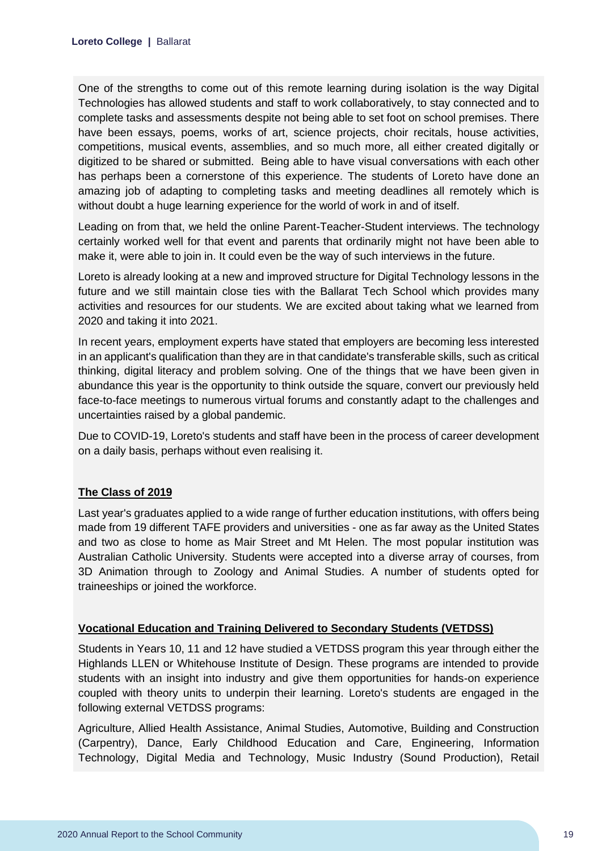One of the strengths to come out of this remote learning during isolation is the way Digital Technologies has allowed students and staff to work collaboratively, to stay connected and to complete tasks and assessments despite not being able to set foot on school premises. There have been essays, poems, works of art, science projects, choir recitals, house activities, competitions, musical events, assemblies, and so much more, all either created digitally or digitized to be shared or submitted. Being able to have visual conversations with each other has perhaps been a cornerstone of this experience. The students of Loreto have done an amazing job of adapting to completing tasks and meeting deadlines all remotely which is without doubt a huge learning experience for the world of work in and of itself.

Leading on from that, we held the online Parent-Teacher-Student interviews. The technology certainly worked well for that event and parents that ordinarily might not have been able to make it, were able to join in. It could even be the way of such interviews in the future.

Loreto is already looking at a new and improved structure for Digital Technology lessons in the future and we still maintain close ties with the Ballarat Tech School which provides many activities and resources for our students. We are excited about taking what we learned from 2020 and taking it into 2021.

In recent years, employment experts have stated that employers are becoming less interested in an applicant's qualification than they are in that candidate's transferable skills, such as critical thinking, digital literacy and problem solving. One of the things that we have been given in abundance this year is the opportunity to think outside the square, convert our previously held face-to-face meetings to numerous virtual forums and constantly adapt to the challenges and uncertainties raised by a global pandemic.

Due to COVID-19, Loreto's students and staff have been in the process of career development on a daily basis, perhaps without even realising it.

### **The Class of 2019**

Last year's graduates applied to a wide range of further education institutions, with offers being made from 19 different TAFE providers and universities - one as far away as the United States and two as close to home as Mair Street and Mt Helen. The most popular institution was Australian Catholic University. Students were accepted into a diverse array of courses, from 3D Animation through to Zoology and Animal Studies. A number of students opted for traineeships or joined the workforce.

### **Vocational Education and Training Delivered to Secondary Students (VETDSS)**

Students in Years 10, 11 and 12 have studied a VETDSS program this year through either the Highlands LLEN or Whitehouse Institute of Design. These programs are intended to provide students with an insight into industry and give them opportunities for hands-on experience coupled with theory units to underpin their learning. Loreto's students are engaged in the following external VETDSS programs:

Agriculture, Allied Health Assistance, Animal Studies, Automotive, Building and Construction (Carpentry), Dance, Early Childhood Education and Care, Engineering, Information Technology, Digital Media and Technology, Music Industry (Sound Production), Retail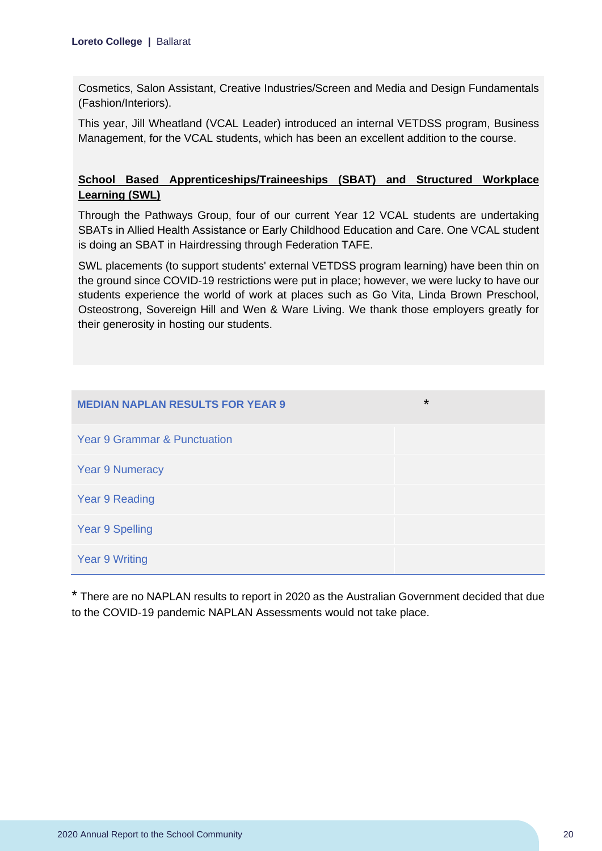Cosmetics, Salon Assistant, Creative Industries/Screen and Media and Design Fundamentals (Fashion/Interiors).

This year, Jill Wheatland (VCAL Leader) introduced an internal VETDSS program, Business Management, for the VCAL students, which has been an excellent addition to the course.

# **School Based Apprenticeships/Traineeships (SBAT) and Structured Workplace Learning (SWL)**

Through the Pathways Group, four of our current Year 12 VCAL students are undertaking SBATs in Allied Health Assistance or Early Childhood Education and Care. One VCAL student is doing an SBAT in Hairdressing through Federation TAFE.

SWL placements (to support students' external VETDSS program learning) have been thin on the ground since COVID-19 restrictions were put in place; however, we were lucky to have our students experience the world of work at places such as Go Vita, Linda Brown Preschool, Osteostrong, Sovereign Hill and Wen & Ware Living. We thank those employers greatly for their generosity in hosting our students.

| <b>MEDIAN NAPLAN RESULTS FOR YEAR 9</b> | $\star$ |
|-----------------------------------------|---------|
| <b>Year 9 Grammar &amp; Punctuation</b> |         |
| <b>Year 9 Numeracy</b>                  |         |
| <b>Year 9 Reading</b>                   |         |
| <b>Year 9 Spelling</b>                  |         |
| <b>Year 9 Writing</b>                   |         |

\* There are no NAPLAN results to report in 2020 as the Australian Government decided that due to the COVID-19 pandemic NAPLAN Assessments would not take place.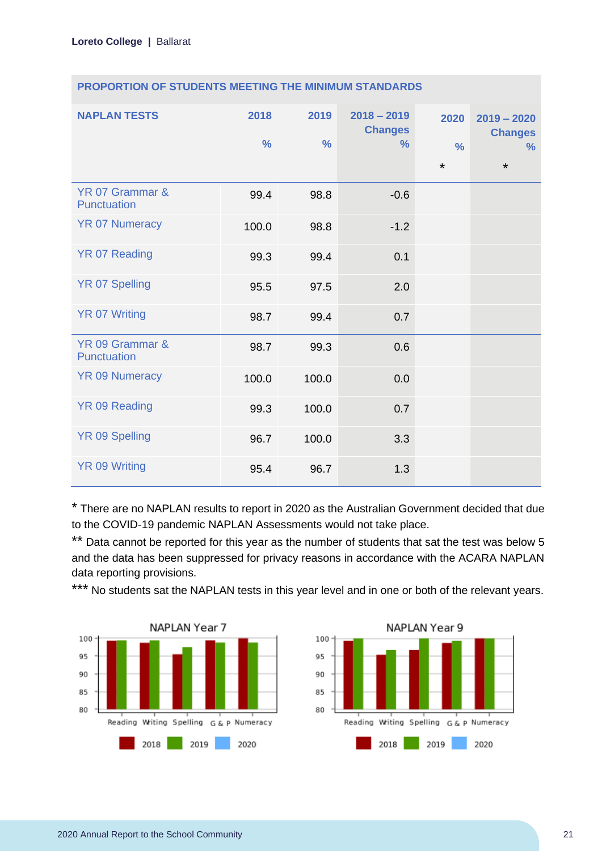| <b>NAPLAN TESTS</b>            | 2018<br>$\frac{0}{0}$ | 2019<br>$\frac{0}{0}$ | $2018 - 2019$<br><b>Changes</b><br>$\%$ | 2020<br>$\frac{0}{0}$<br>$\star$ | $2019 - 2020$<br><b>Changes</b><br>$\frac{9}{6}$<br>$\star$ |
|--------------------------------|-----------------------|-----------------------|-----------------------------------------|----------------------------------|-------------------------------------------------------------|
| YR 07 Grammar &<br>Punctuation | 99.4                  | 98.8                  | $-0.6$                                  |                                  |                                                             |
| <b>YR 07 Numeracy</b>          | 100.0                 | 98.8                  | $-1.2$                                  |                                  |                                                             |
| <b>YR 07 Reading</b>           | 99.3                  | 99.4                  | 0.1                                     |                                  |                                                             |
| <b>YR 07 Spelling</b>          | 95.5                  | 97.5                  | 2.0                                     |                                  |                                                             |
| <b>YR 07 Writing</b>           | 98.7                  | 99.4                  | 0.7                                     |                                  |                                                             |
| YR 09 Grammar &<br>Punctuation | 98.7                  | 99.3                  | 0.6                                     |                                  |                                                             |
| <b>YR 09 Numeracy</b>          | 100.0                 | 100.0                 | 0.0                                     |                                  |                                                             |
| <b>YR 09 Reading</b>           | 99.3                  | 100.0                 | 0.7                                     |                                  |                                                             |
| YR 09 Spelling                 | 96.7                  | 100.0                 | 3.3                                     |                                  |                                                             |
| <b>YR 09 Writing</b>           | 95.4                  | 96.7                  | 1.3                                     |                                  |                                                             |

\* There are no NAPLAN results to report in 2020 as the Australian Government decided that due to the COVID-19 pandemic NAPLAN Assessments would not take place.

\*\* Data cannot be reported for this year as the number of students that sat the test was below 5 and the data has been suppressed for privacy reasons in accordance with the ACARA NAPLAN data reporting provisions.

\*\*\* No students sat the NAPLAN tests in this year level and in one or both of the relevant years.



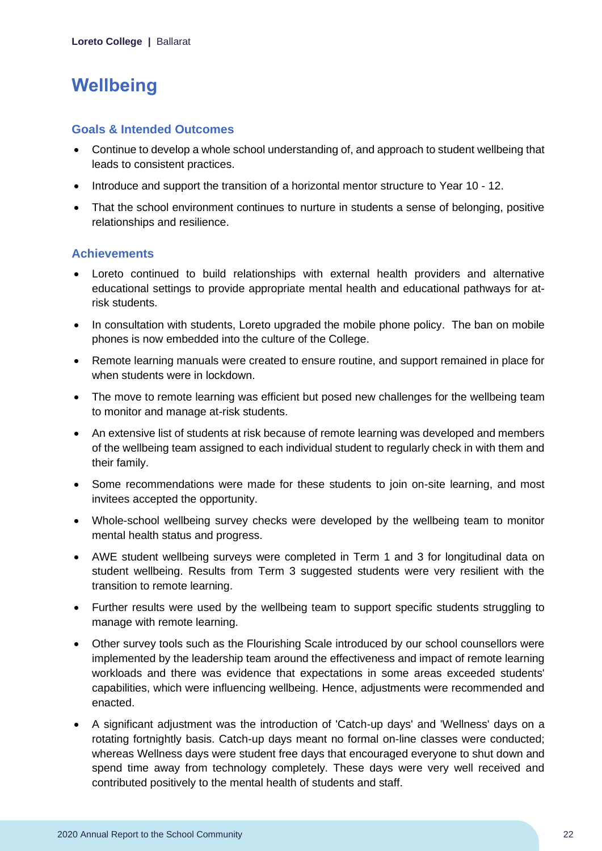# <span id="page-22-0"></span>**Wellbeing**

### **Goals & Intended Outcomes**

- Continue to develop a whole school understanding of, and approach to student wellbeing that leads to consistent practices.
- Introduce and support the transition of a horizontal mentor structure to Year 10 12.
- That the school environment continues to nurture in students a sense of belonging, positive relationships and resilience.

# **Achievements**

- Loreto continued to build relationships with external health providers and alternative educational settings to provide appropriate mental health and educational pathways for atrisk students.
- In consultation with students, Loreto upgraded the mobile phone policy. The ban on mobile phones is now embedded into the culture of the College.
- Remote learning manuals were created to ensure routine, and support remained in place for when students were in lockdown.
- The move to remote learning was efficient but posed new challenges for the wellbeing team to monitor and manage at-risk students.
- An extensive list of students at risk because of remote learning was developed and members of the wellbeing team assigned to each individual student to regularly check in with them and their family.
- Some recommendations were made for these students to join on-site learning, and most invitees accepted the opportunity.
- Whole-school wellbeing survey checks were developed by the wellbeing team to monitor mental health status and progress.
- AWE student wellbeing surveys were completed in Term 1 and 3 for longitudinal data on student wellbeing. Results from Term 3 suggested students were very resilient with the transition to remote learning.
- Further results were used by the wellbeing team to support specific students struggling to manage with remote learning.
- Other survey tools such as the Flourishing Scale introduced by our school counsellors were implemented by the leadership team around the effectiveness and impact of remote learning workloads and there was evidence that expectations in some areas exceeded students' capabilities, which were influencing wellbeing. Hence, adjustments were recommended and enacted.
- A significant adjustment was the introduction of 'Catch-up days' and 'Wellness' days on a rotating fortnightly basis. Catch-up days meant no formal on-line classes were conducted; whereas Wellness days were student free days that encouraged everyone to shut down and spend time away from technology completely. These days were very well received and contributed positively to the mental health of students and staff.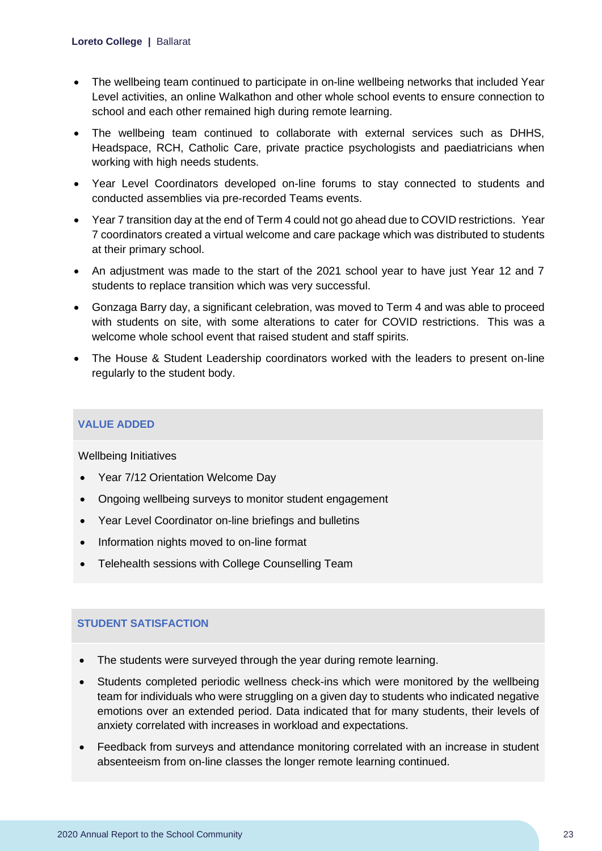- The wellbeing team continued to participate in on-line wellbeing networks that included Year Level activities, an online Walkathon and other whole school events to ensure connection to school and each other remained high during remote learning.
- The wellbeing team continued to collaborate with external services such as DHHS, Headspace, RCH, Catholic Care, private practice psychologists and paediatricians when working with high needs students.
- Year Level Coordinators developed on-line forums to stay connected to students and conducted assemblies via pre-recorded Teams events.
- Year 7 transition day at the end of Term 4 could not go ahead due to COVID restrictions. Year 7 coordinators created a virtual welcome and care package which was distributed to students at their primary school.
- An adjustment was made to the start of the 2021 school year to have just Year 12 and 7 students to replace transition which was very successful.
- Gonzaga Barry day, a significant celebration, was moved to Term 4 and was able to proceed with students on site, with some alterations to cater for COVID restrictions. This was a welcome whole school event that raised student and staff spirits.
- The House & Student Leadership coordinators worked with the leaders to present on-line regularly to the student body.

### **VALUE ADDED**

Wellbeing Initiatives

- Year 7/12 Orientation Welcome Day
- Ongoing wellbeing surveys to monitor student engagement
- Year Level Coordinator on-line briefings and bulletins
- Information nights moved to on-line format
- Telehealth sessions with College Counselling Team

### **STUDENT SATISFACTION**

- The students were surveyed through the year during remote learning.
- Students completed periodic wellness check-ins which were monitored by the wellbeing team for individuals who were struggling on a given day to students who indicated negative emotions over an extended period. Data indicated that for many students, their levels of anxiety correlated with increases in workload and expectations.
- Feedback from surveys and attendance monitoring correlated with an increase in student absenteeism from on-line classes the longer remote learning continued.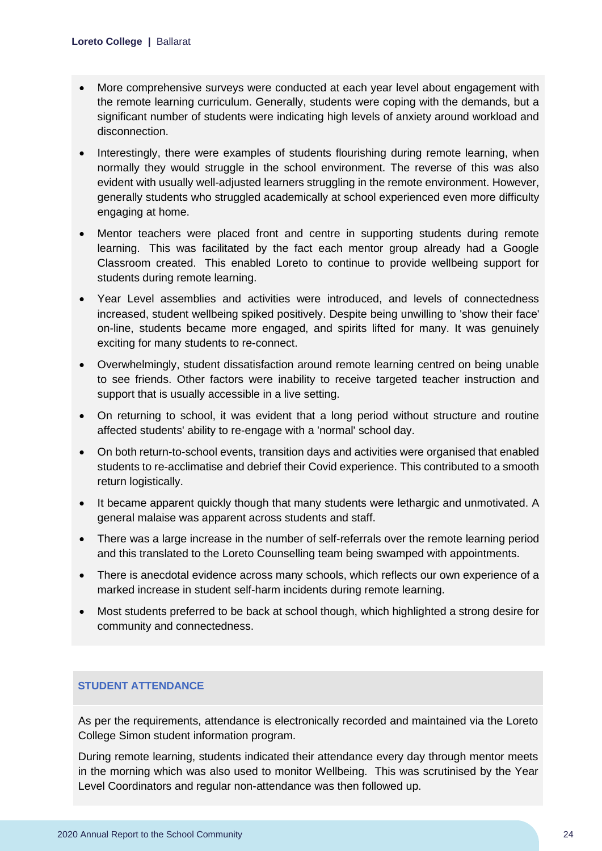- More comprehensive surveys were conducted at each year level about engagement with the remote learning curriculum. Generally, students were coping with the demands, but a significant number of students were indicating high levels of anxiety around workload and disconnection.
- Interestingly, there were examples of students flourishing during remote learning, when normally they would struggle in the school environment. The reverse of this was also evident with usually well-adjusted learners struggling in the remote environment. However, generally students who struggled academically at school experienced even more difficulty engaging at home.
- Mentor teachers were placed front and centre in supporting students during remote learning. This was facilitated by the fact each mentor group already had a Google Classroom created. This enabled Loreto to continue to provide wellbeing support for students during remote learning.
- Year Level assemblies and activities were introduced, and levels of connectedness increased, student wellbeing spiked positively. Despite being unwilling to 'show their face' on-line, students became more engaged, and spirits lifted for many. It was genuinely exciting for many students to re-connect.
- Overwhelmingly, student dissatisfaction around remote learning centred on being unable to see friends. Other factors were inability to receive targeted teacher instruction and support that is usually accessible in a live setting.
- On returning to school, it was evident that a long period without structure and routine affected students' ability to re-engage with a 'normal' school day.
- On both return-to-school events, transition days and activities were organised that enabled students to re-acclimatise and debrief their Covid experience. This contributed to a smooth return logistically.
- It became apparent quickly though that many students were lethargic and unmotivated. A general malaise was apparent across students and staff.
- There was a large increase in the number of self-referrals over the remote learning period and this translated to the Loreto Counselling team being swamped with appointments.
- There is anecdotal evidence across many schools, which reflects our own experience of a marked increase in student self-harm incidents during remote learning.
- Most students preferred to be back at school though, which highlighted a strong desire for community and connectedness.

### **STUDENT ATTENDANCE**

As per the requirements, attendance is electronically recorded and maintained via the Loreto College Simon student information program.

During remote learning, students indicated their attendance every day through mentor meets in the morning which was also used to monitor Wellbeing. This was scrutinised by the Year Level Coordinators and regular non-attendance was then followed up.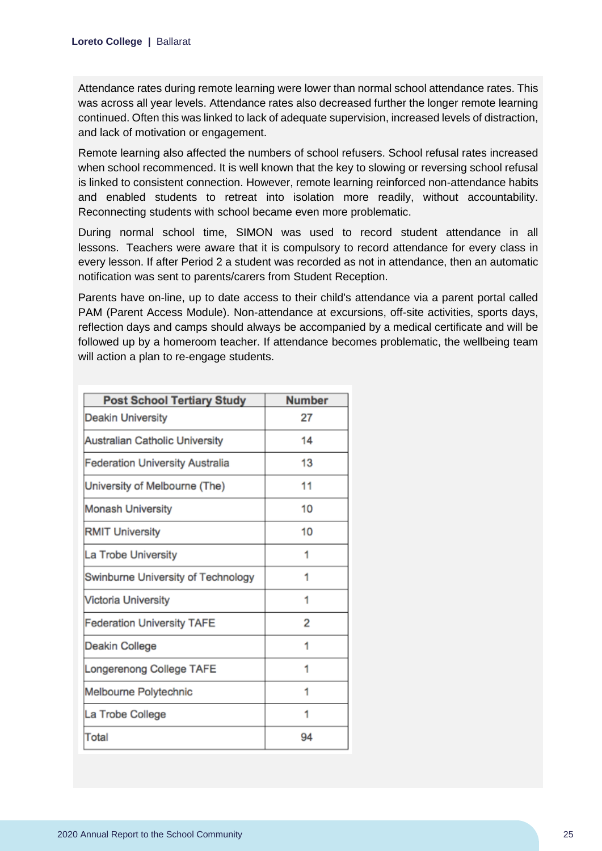Attendance rates during remote learning were lower than normal school attendance rates. This was across all year levels. Attendance rates also decreased further the longer remote learning continued. Often this was linked to lack of adequate supervision, increased levels of distraction, and lack of motivation or engagement.

Remote learning also affected the numbers of school refusers. School refusal rates increased when school recommenced. It is well known that the key to slowing or reversing school refusal is linked to consistent connection. However, remote learning reinforced non-attendance habits and enabled students to retreat into isolation more readily, without accountability. Reconnecting students with school became even more problematic.

During normal school time, SIMON was used to record student attendance in all lessons. Teachers were aware that it is compulsory to record attendance for every class in every lesson. If after Period 2 a student was recorded as not in attendance, then an automatic notification was sent to parents/carers from Student Reception.

Parents have on-line, up to date access to their child's attendance via a parent portal called PAM (Parent Access Module). Non-attendance at excursions, off-site activities, sports days, reflection days and camps should always be accompanied by a medical certificate and will be followed up by a homeroom teacher. If attendance becomes problematic, the wellbeing team will action a plan to re-engage students.

| <b>Post School Tertiary Study</b>      | <b>Number</b> |
|----------------------------------------|---------------|
| <b>Deakin University</b>               | 27            |
| Australian Catholic University         | 14            |
| <b>Federation University Australia</b> | 13            |
| University of Melbourne (The)          | 11            |
| <b>Monash University</b>               | 10            |
| <b>RMIT University</b>                 | 10            |
| La Trobe University                    | 1             |
| Swinburne University of Technology     | 1             |
| <b>Victoria University</b>             | 1             |
| <b>Federation University TAFE</b>      | 2             |
| Deakin College                         | 1             |
| Longerenong College TAFE               | 1             |
| Melbourne Polytechnic                  | 1             |
| La Trobe College                       | 1             |
| <b>Total</b>                           | 94            |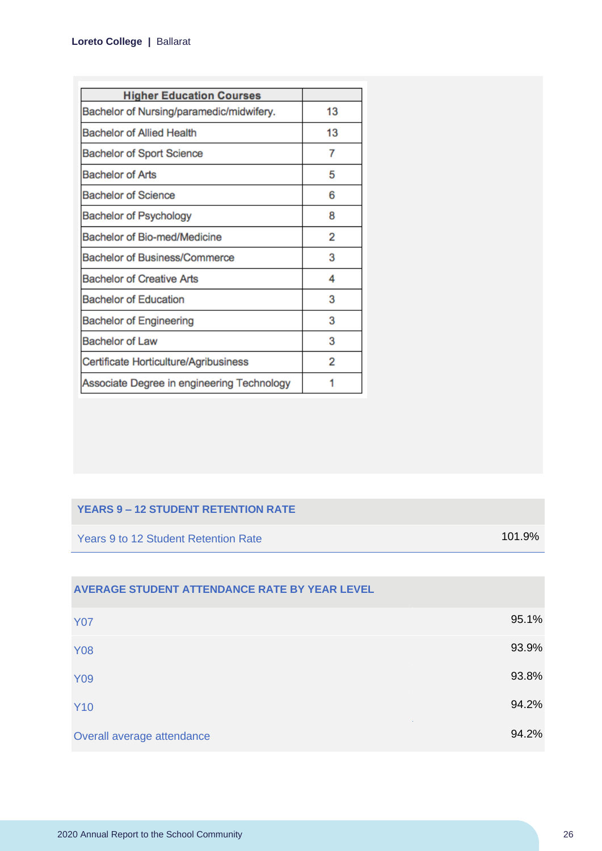| <b>Higher Education Courses</b>            |    |
|--------------------------------------------|----|
| Bachelor of Nursing/paramedic/midwifery.   | 13 |
| <b>Bachelor of Allied Health</b>           | 13 |
| <b>Bachelor of Sport Science</b>           | 7  |
| <b>Bachelor of Arts</b>                    | 5  |
| <b>Bachelor of Science</b>                 | 6  |
| <b>Bachelor of Psychology</b>              | 8  |
| Bachelor of Bio-med/Medicine               | 2  |
| <b>Bachelor of Business/Commerce</b>       | 3  |
| <b>Bachelor of Creative Arts</b>           | 4  |
| <b>Bachelor of Education</b>               | 3  |
| <b>Bachelor of Engineering</b>             | 3  |
| <b>Bachelor of Law</b>                     | 3  |
| Certificate Horticulture/Agribusiness      | 2  |
| Associate Degree in engineering Technology |    |

#### **YEARS 9 – 12 STUDENT RETENTION RATE**

Years 9 to 12 Student Retention Rate 101.9%

| AVERAGE STUDENT ATTENDANCE RATE BY YEAR LEVEL |       |
|-----------------------------------------------|-------|
| <b>Y07</b>                                    | 95.1% |
| <b>Y08</b>                                    | 93.9% |
| <b>Y09</b>                                    | 93.8% |
| <b>Y10</b>                                    | 94.2% |
| Overall average attendance                    | 94.2% |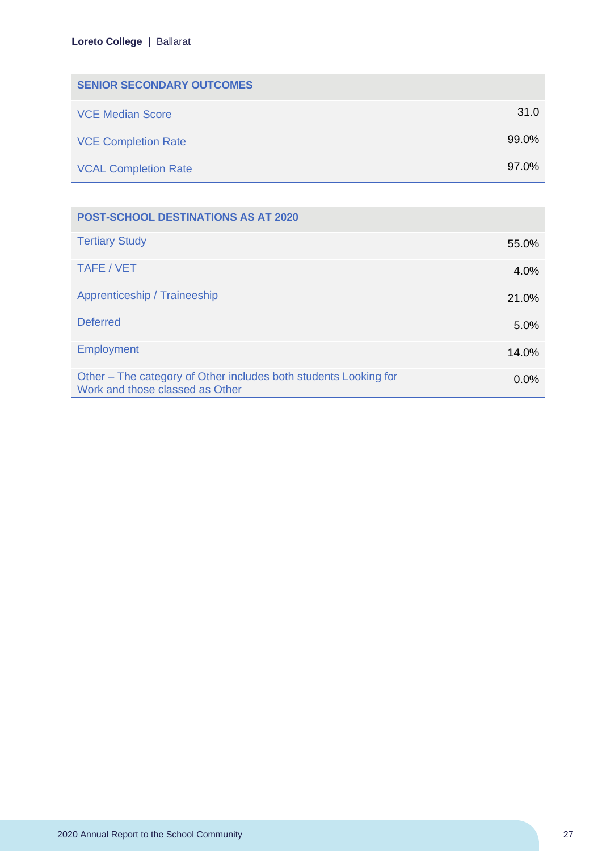| <b>SENIOR SECONDARY OUTCOMES</b> |          |
|----------------------------------|----------|
| <b>VCE Median Score</b>          | 31.0     |
| <b>VCE Completion Rate</b>       | $99.0\%$ |
| <b>VCAL Completion Rate</b>      | 97.0%    |

| <b>POST-SCHOOL DESTINATIONS AS AT 2020</b>                                                          |         |
|-----------------------------------------------------------------------------------------------------|---------|
| <b>Tertiary Study</b>                                                                               | 55.0%   |
| TAFE / VET                                                                                          | 4.0%    |
| Apprenticeship / Traineeship                                                                        | 21.0%   |
| <b>Deferred</b>                                                                                     | 5.0%    |
| <b>Employment</b>                                                                                   | 14.0%   |
| Other – The category of Other includes both students Looking for<br>Work and those classed as Other | $0.0\%$ |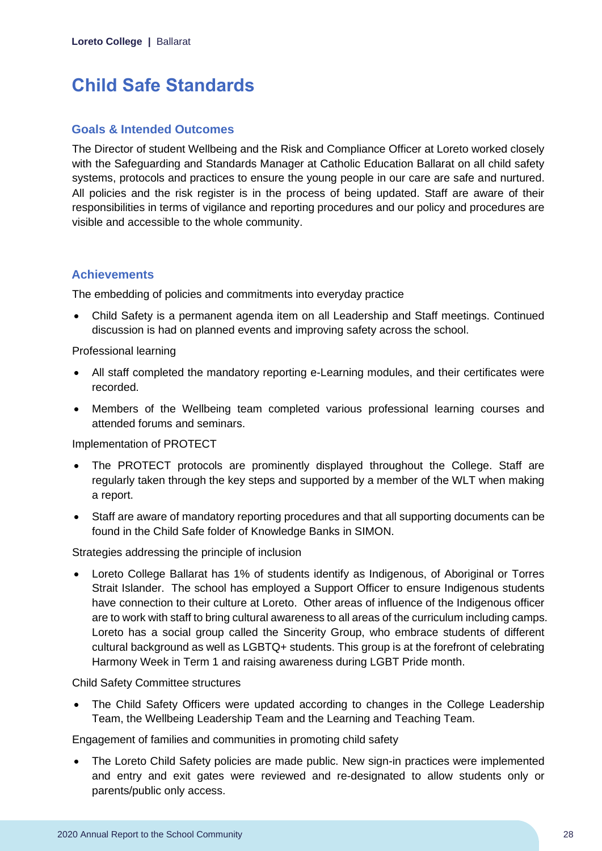# <span id="page-28-0"></span>**Child Safe Standards**

### **Goals & Intended Outcomes**

The Director of student Wellbeing and the Risk and Compliance Officer at Loreto worked closely with the Safeguarding and Standards Manager at Catholic Education Ballarat on all child safety systems, protocols and practices to ensure the young people in our care are safe and nurtured. All policies and the risk register is in the process of being updated. Staff are aware of their responsibilities in terms of vigilance and reporting procedures and our policy and procedures are visible and accessible to the whole community.

# **Achievements**

The embedding of policies and commitments into everyday practice

• Child Safety is a permanent agenda item on all Leadership and Staff meetings. Continued discussion is had on planned events and improving safety across the school.

Professional learning

- All staff completed the mandatory reporting e-Learning modules, and their certificates were recorded.
- Members of the Wellbeing team completed various professional learning courses and attended forums and seminars.

Implementation of PROTECT

- The PROTECT protocols are prominently displayed throughout the College. Staff are regularly taken through the key steps and supported by a member of the WLT when making a report.
- Staff are aware of mandatory reporting procedures and that all supporting documents can be found in the Child Safe folder of Knowledge Banks in SIMON.

Strategies addressing the principle of inclusion

• Loreto College Ballarat has 1% of students identify as Indigenous, of Aboriginal or Torres Strait Islander. The school has employed a Support Officer to ensure Indigenous students have connection to their culture at Loreto. Other areas of influence of the Indigenous officer are to work with staff to bring cultural awareness to all areas of the curriculum including camps. Loreto has a social group called the Sincerity Group, who embrace students of different cultural background as well as LGBTQ+ students. This group is at the forefront of celebrating Harmony Week in Term 1 and raising awareness during LGBT Pride month.

Child Safety Committee structures

• The Child Safety Officers were updated according to changes in the College Leadership Team, the Wellbeing Leadership Team and the Learning and Teaching Team.

Engagement of families and communities in promoting child safety

• The Loreto Child Safety policies are made public. New sign-in practices were implemented and entry and exit gates were reviewed and re-designated to allow students only or parents/public only access.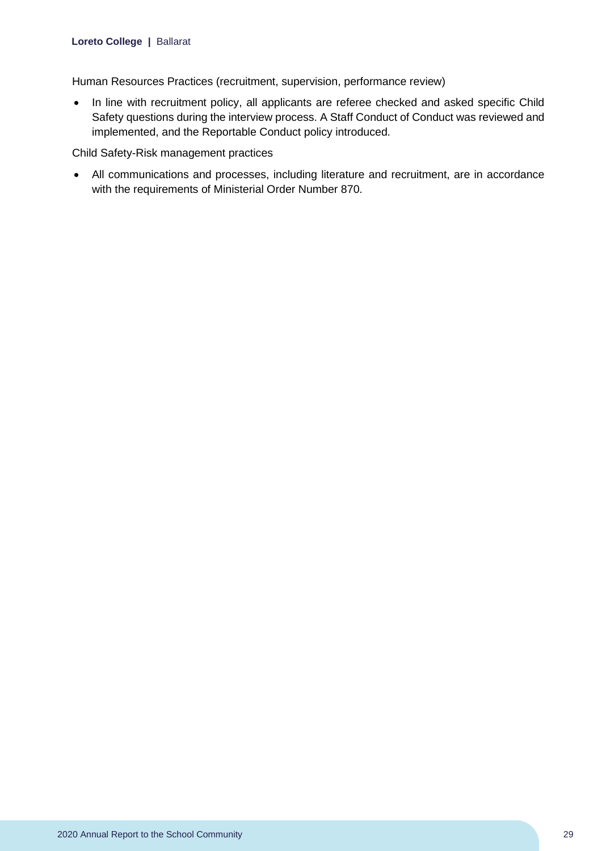Human Resources Practices (recruitment, supervision, performance review)

• In line with recruitment policy, all applicants are referee checked and asked specific Child Safety questions during the interview process. A Staff Conduct of Conduct was reviewed and implemented, and the Reportable Conduct policy introduced.

Child Safety-Risk management practices

• All communications and processes, including literature and recruitment, are in accordance with the requirements of Ministerial Order Number 870.